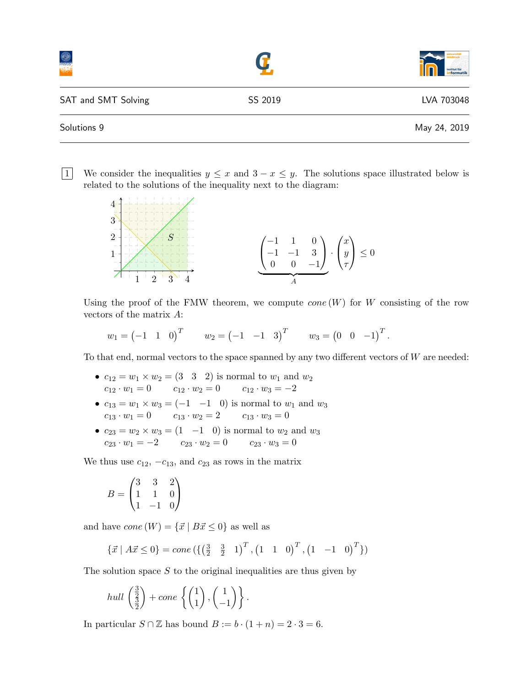|                     |         | aniversitä<br>г<br>institut für |
|---------------------|---------|---------------------------------|
| SAT and SMT Solving | SS 2019 | LVA 703048                      |
| Solutions 9         |         | May 24, 2019                    |

1 We consider the inequalities  $y \leq x$  and  $3 - x \leq y$ . The solutions space illustrated below is related to the solutions of the inequality next to the diagram:



Using the proof of the FMW theorem, we compute  $cone(W)$  for W consisting of the row vectors of the matrix A:

$$
w_1 = (-1 \ 1 \ 0)^T
$$
  $w_2 = (-1 \ -1 \ 3)^T$   $w_3 = (0 \ 0 \ -1)^T$ .

To that end, normal vectors to the space spanned by any two different vectors of  $W$  are needed:

- $c_{12} = w_1 \times w_2 = (3 \ 3 \ 2)$  is normal to  $w_1$  and  $w_2$  $c_{12} \cdot w_1 = 0$   $c_{12} \cdot w_2 = 0$   $c_{12} \cdot w_3 = -2$
- $c_{13} = w_1 \times w_3 = (-1 \ -1 \ 0)$  is normal to  $w_1$  and  $w_3$  $c_{13} \cdot w_1 = 0 \qquad \ \ c_{13} \cdot w_2 = 2 \qquad \ \ c_{13} \cdot w_3 = 0$
- $c_{23} = w_2 \times w_3 = (1 \ -1 \ 0)$  is normal to  $w_2$  and  $w_3$  $c_{23} \cdot w_1 = -2$   $c_{23} \cdot w_2 = 0$   $c_{23} \cdot w_3 = 0$

We thus use  $c_{12}$ ,  $-c_{13}$ , and  $c_{23}$  as rows in the matrix

$$
B = \begin{pmatrix} 3 & 3 & 2 \\ 1 & 1 & 0 \\ 1 & -1 & 0 \end{pmatrix}
$$

and have  $cone(W) = \{\vec{x} \mid B\vec{x} \leq 0\}$  as well as

$$
\{\vec{x} \mid A\vec{x} \le 0\} = cone\left(\left\{\left(\frac{3}{2} \quad \frac{3}{2} \quad 1\right)^T, \left(1 \quad 1 \quad 0\right)^T, \left(1 \quad -1 \quad 0\right)^T\right\}\right)
$$

The solution space  $S$  to the original inequalities are thus given by

$$
hull\left(\frac{\frac{3}{2}}{\frac{3}{2}}\right) + cone\left(\binom{1}{1}, \binom{1}{-1}\right).
$$

In particular  $S \cap \mathbb{Z}$  has bound  $B := b \cdot (1 + n) = 2 \cdot 3 = 6$ .